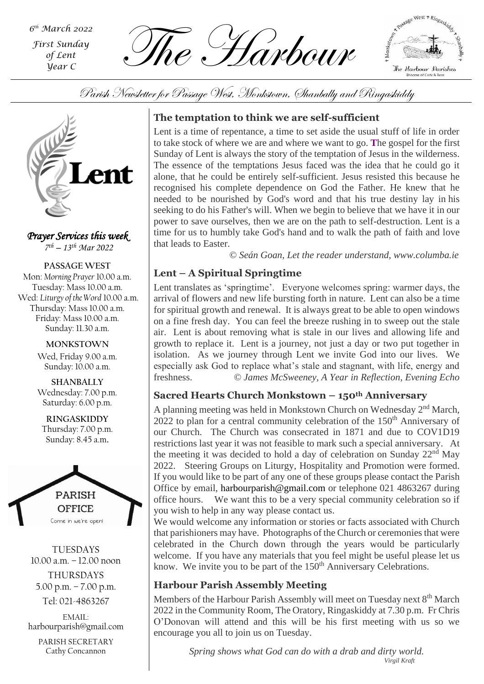*th March 2022 First Sunday of Lent Year C*

The Harbour *<sup>6</sup>*



Parish Newsletter for Passage West, Monkstown, Shanbally and Ringaskiddy



*Prayer Services this week 7 th – 13th Mar 2022*

**PASSAGE WEST** Mon: *Morning Prayer* 10.00 a.m. Tuesday: Mass 10.00 a.m. Wed: *Liturgy of the Word* 10.00 a.m. Thursday: Mass 10.00 a.m. Friday: Mass 10.00 a.m. Sunday: 11.30 a.m.

> **MONKSTOWN** Wed, Friday 9.00 a.m. Sunday: 10.00 a.m.

> **SHANBALLY** Wednesday: 7.00 p.m. Saturday: 6.00 p.m.

**RINGASKIDDY** Thursday: 7.00 p.m. Sunday: 8.45 a.m.



TUESDAYS 10.00 a.m. – 12.00 noon THURSDAYS 5.00 p.m. – 7.00 p.m.

Tel: 021-4863267

EMAIL: harbourparish@gmail.com

PARISH SECRETARY Cathy Concannon

# **The temptation to think we are self-sufficient**

Lent is a time of repentance, a time to set aside the usual stuff of life in order to take stock of where we are and where we want to go. **T**he gospel for the first Sunday of Lent is always the story of the temptation of Jesus in the wilderness. The essence of the temptations Jesus faced was the idea that he could go it alone, that he could be entirely self-sufficient. Jesus resisted this because he recognised his complete dependence on God the Father. He knew that he needed to be nourished by God's word and that his true destiny lay in his seeking to do his Father's will. When we begin to believe that we have it in our power to save ourselves, then we are on the path to self-destruction. Lent is a time for us to humbly take God's hand and to walk the path of faith and love that leads to Easter.

 *© Seán Goan, Let the reader understand, www.columba.ie*

# **Lent – A Spiritual Springtime**

Lent translates as 'springtime'. Everyone welcomes spring: warmer days, the arrival of flowers and new life bursting forth in nature. Lent can also be a time for spiritual growth and renewal. It is always great to be able to open windows on a fine fresh day. You can feel the breeze rushing in to sweep out the stale air. Lent is about removing what is stale in our lives and allowing life and growth to replace it. Lent is a journey, not just a day or two put together in isolation. As we journey through Lent we invite God into our lives. We especially ask God to replace what's stale and stagnant, with life, energy and freshness. *© James McSweeney, A Year in Reflection, Evening Echo*

## **Sacred Hearts Church Monkstown – 150th Anniversary**

A planning meeting was held in Monkstown Church on Wednesday 2<sup>nd</sup> March, 2022 to plan for a central community celebration of the  $150<sup>th</sup>$  Anniversary of our Church. The Church was consecrated in 1871 and due to COV1D19 restrictions last year it was not feasible to mark such a special anniversary. At the meeting it was decided to hold a day of celebration on Sunday  $22<sup>nd</sup>$  May 2022. Steering Groups on Liturgy, Hospitality and Promotion were formed. If you would like to be part of any one of these groups please contact the Parish Office by email, [harbourparish@gmail.com](mailto:harbourparish@gmail.com) or telephone 021 4863267 during office hours. We want this to be a very special community celebration so if you wish to help in any way please contact us.

We would welcome any information or stories or facts associated with Church that parishioners may have. Photographs of the Church or ceremonies that were celebrated in the Church down through the years would be particularly welcome. If you have any materials that you feel might be useful please let us know. We invite you to be part of the 150<sup>th</sup> Anniversary Celebrations.

## **Harbour Parish Assembly Meeting**

Members of the Harbour Parish Assembly will meet on Tuesday next 8<sup>th</sup> March 2022 in the Community Room, The Oratory, Ringaskiddy at 7.30 p.m. Fr Chris O'Donovan will attend and this will be his first meeting with us so we encourage you all to join us on Tuesday.

> *Spring shows what God can do with a drab and dirty world. Virgil Kraft*